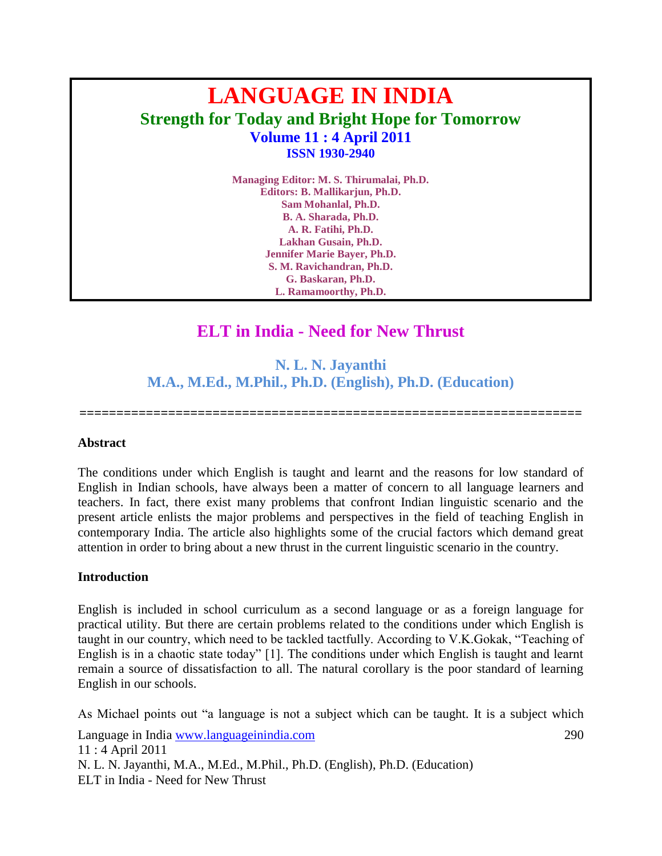# **LANGUAGE IN INDIA Strength for Today and Bright Hope for Tomorrow Volume 11 : 4 April 2011 ISSN 1930-2940**

**Managing Editor: M. S. Thirumalai, Ph.D. Editors: B. Mallikarjun, Ph.D. Sam Mohanlal, Ph.D. B. A. Sharada, Ph.D. A. R. Fatihi, Ph.D. Lakhan Gusain, Ph.D. Jennifer Marie Bayer, Ph.D. S. M. Ravichandran, Ph.D. G. Baskaran, Ph.D. L. Ramamoorthy, Ph.D.**

## **ELT in India - Need for New Thrust**

**N. L. N. Jayanthi M.A., M.Ed., M.Phil., Ph.D. (English), Ph.D. (Education)**

**====================================================================**

#### **Abstract**

The conditions under which English is taught and learnt and the reasons for low standard of English in Indian schools, have always been a matter of concern to all language learners and teachers. In fact, there exist many problems that confront Indian linguistic scenario and the present article enlists the major problems and perspectives in the field of teaching English in contemporary India. The article also highlights some of the crucial factors which demand great attention in order to bring about a new thrust in the current linguistic scenario in the country.

#### **Introduction**

English is included in school curriculum as a second language or as a foreign language for practical utility. But there are certain problems related to the conditions under which English is taught in our country, which need to be tackled tactfully. According to V.K.Gokak, "Teaching of English is in a chaotic state today" [1]. The conditions under which English is taught and learnt remain a source of dissatisfaction to all. The natural corollary is the poor standard of learning English in our schools.

Language in India www.languageinindia.com 290 11 : 4 April 2011 N. L. N. Jayanthi, M.A., M.Ed., M.Phil., Ph.D. (English), Ph.D. (Education) ELT in India - Need for New Thrust As Michael points out "a language is not a subject which can be taught. It is a subject which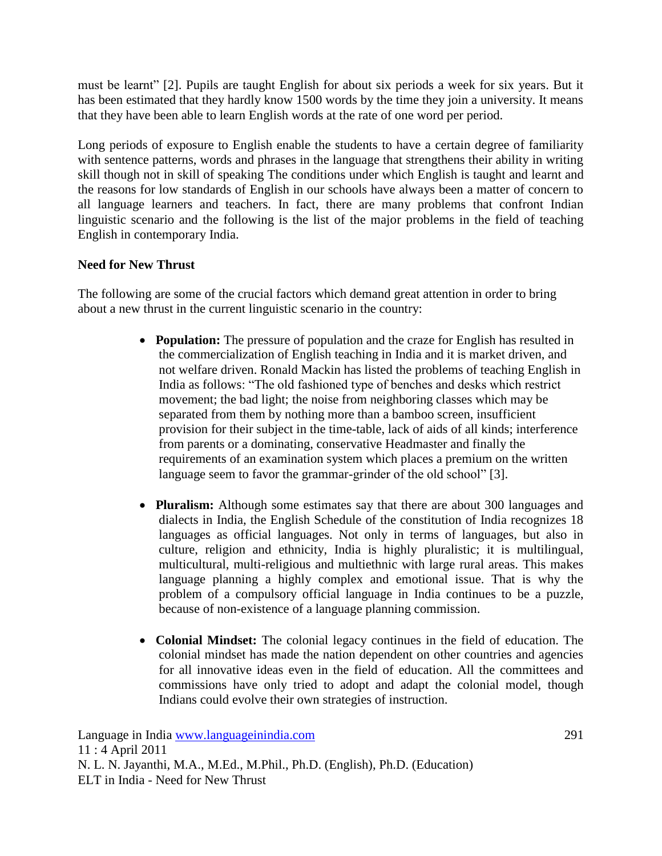must be learnt" [2]. Pupils are taught English for about six periods a week for six years. But it has been estimated that they hardly know 1500 words by the time they join a university. It means that they have been able to learn English words at the rate of one word per period.

Long periods of exposure to English enable the students to have a certain degree of familiarity with sentence patterns, words and phrases in the language that strengthens their ability in writing skill though not in skill of speaking The conditions under which English is taught and learnt and the reasons for low standards of English in our schools have always been a matter of concern to all language learners and teachers. In fact, there are many problems that confront Indian linguistic scenario and the following is the list of the major problems in the field of teaching English in contemporary India.

### **Need for New Thrust**

The following are some of the crucial factors which demand great attention in order to bring about a new thrust in the current linguistic scenario in the country:

- **Population:** The pressure of population and the craze for English has resulted in the commercialization of English teaching in India and it is market driven, and not welfare driven. Ronald Mackin has listed the problems of teaching English in India as follows: "The old fashioned type of benches and desks which restrict movement; the bad light; the noise from neighboring classes which may be separated from them by nothing more than a bamboo screen, insufficient provision for their subject in the time-table, lack of aids of all kinds; interference from parents or a dominating, conservative Headmaster and finally the requirements of an examination system which places a premium on the written language seem to favor the grammar-grinder of the old school" [3].
- **Pluralism:** Although some estimates say that there are about 300 languages and dialects in India, the English Schedule of the constitution of India recognizes 18 languages as official languages. Not only in terms of languages, but also in culture, religion and ethnicity, India is highly pluralistic; it is multilingual, multicultural, multi-religious and multiethnic with large rural areas. This makes language planning a highly complex and emotional issue. That is why the problem of a compulsory official language in India continues to be a puzzle, because of non-existence of a language planning commission.
- **Colonial Mindset:** The colonial legacy continues in the field of education. The colonial mindset has made the nation dependent on other countries and agencies for all innovative ideas even in the field of education. All the committees and commissions have only tried to adopt and adapt the colonial model, though Indians could evolve their own strategies of instruction.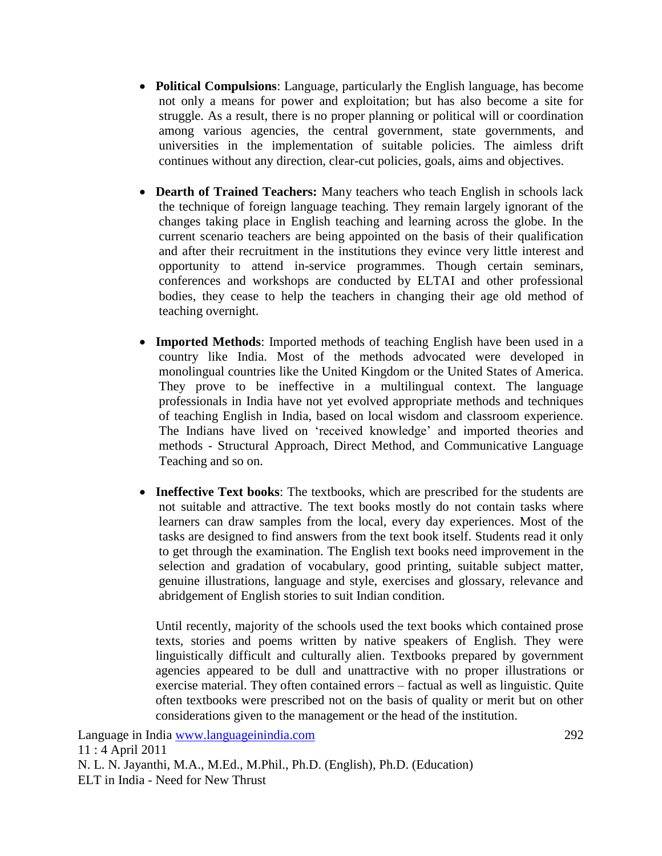- **Political Compulsions**: Language, particularly the English language, has become not only a means for power and exploitation; but has also become a site for struggle. As a result, there is no proper planning or political will or coordination among various agencies, the central government, state governments, and universities in the implementation of suitable policies. The aimless drift continues without any direction, clear-cut policies, goals, aims and objectives.
- **Dearth of Trained Teachers:** Many teachers who teach English in schools lack the technique of foreign language teaching. They remain largely ignorant of the changes taking place in English teaching and learning across the globe. In the current scenario teachers are being appointed on the basis of their qualification and after their recruitment in the institutions they evince very little interest and opportunity to attend in-service programmes. Though certain seminars, conferences and workshops are conducted by ELTAI and other professional bodies, they cease to help the teachers in changing their age old method of teaching overnight.
- **Imported Methods**: Imported methods of teaching English have been used in a country like India. Most of the methods advocated were developed in monolingual countries like the United Kingdom or the United States of America. They prove to be ineffective in a multilingual context. The language professionals in India have not yet evolved appropriate methods and techniques of teaching English in India, based on local wisdom and classroom experience. The Indians have lived on "received knowledge" and imported theories and methods - Structural Approach, Direct Method, and Communicative Language Teaching and so on.
- **Ineffective Text books**: The textbooks, which are prescribed for the students are not suitable and attractive. The text books mostly do not contain tasks where learners can draw samples from the local, every day experiences. Most of the tasks are designed to find answers from the text book itself. Students read it only to get through the examination. The English text books need improvement in the selection and gradation of vocabulary, good printing, suitable subject matter, genuine illustrations, language and style, exercises and glossary, relevance and abridgement of English stories to suit Indian condition.

Until recently, majority of the schools used the text books which contained prose texts, stories and poems written by native speakers of English. They were linguistically difficult and culturally alien. Textbooks prepared by government agencies appeared to be dull and unattractive with no proper illustrations or exercise material. They often contained errors – factual as well as linguistic. Quite often textbooks were prescribed not on the basis of quality or merit but on other considerations given to the management or the head of the institution.

Language in India www.languageinindia.com 292 11 : 4 April 2011 N. L. N. Jayanthi, M.A., M.Ed., M.Phil., Ph.D. (English), Ph.D. (Education) ELT in India - Need for New Thrust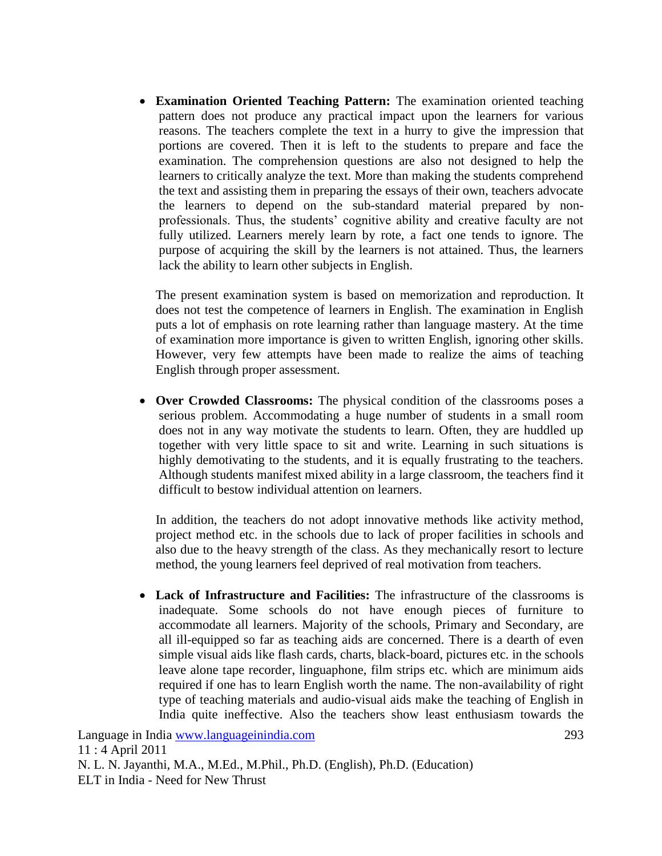**Examination Oriented Teaching Pattern:** The examination oriented teaching pattern does not produce any practical impact upon the learners for various reasons. The teachers complete the text in a hurry to give the impression that portions are covered. Then it is left to the students to prepare and face the examination. The comprehension questions are also not designed to help the learners to critically analyze the text. More than making the students comprehend the text and assisting them in preparing the essays of their own, teachers advocate the learners to depend on the sub-standard material prepared by nonprofessionals. Thus, the students" cognitive ability and creative faculty are not fully utilized. Learners merely learn by rote, a fact one tends to ignore. The purpose of acquiring the skill by the learners is not attained. Thus, the learners lack the ability to learn other subjects in English.

The present examination system is based on memorization and reproduction. It does not test the competence of learners in English. The examination in English puts a lot of emphasis on rote learning rather than language mastery. At the time of examination more importance is given to written English, ignoring other skills. However, very few attempts have been made to realize the aims of teaching English through proper assessment.

 **Over Crowded Classrooms:** The physical condition of the classrooms poses a serious problem. Accommodating a huge number of students in a small room does not in any way motivate the students to learn. Often, they are huddled up together with very little space to sit and write. Learning in such situations is highly demotivating to the students, and it is equally frustrating to the teachers. Although students manifest mixed ability in a large classroom, the teachers find it difficult to bestow individual attention on learners.

In addition, the teachers do not adopt innovative methods like activity method, project method etc. in the schools due to lack of proper facilities in schools and also due to the heavy strength of the class. As they mechanically resort to lecture method, the young learners feel deprived of real motivation from teachers.

 **Lack of Infrastructure and Facilities:** The infrastructure of the classrooms is inadequate. Some schools do not have enough pieces of furniture to accommodate all learners. Majority of the schools, Primary and Secondary, are all ill-equipped so far as teaching aids are concerned. There is a dearth of even simple visual aids like flash cards, charts, black-board, pictures etc. in the schools leave alone tape recorder, linguaphone, film strips etc. which are minimum aids required if one has to learn English worth the name. The non-availability of right type of teaching materials and audio-visual aids make the teaching of English in India quite ineffective. Also the teachers show least enthusiasm towards the

Language in India www.languageinindia.com 293 11 : 4 April 2011 N. L. N. Jayanthi, M.A., M.Ed., M.Phil., Ph.D. (English), Ph.D. (Education) ELT in India - Need for New Thrust